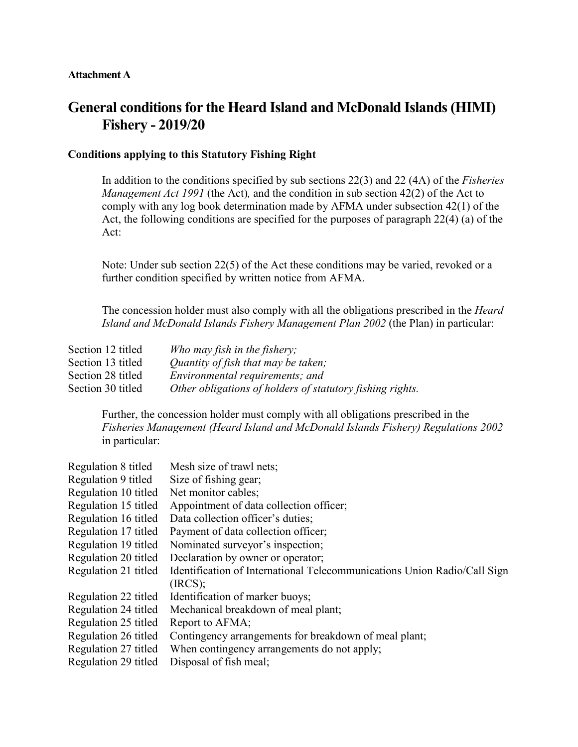#### **Attachment A**

# **General conditions for the Heard Island and McDonald Islands (HIMI) Fishery - 2019/20**

#### **Conditions applying to this Statutory Fishing Right**

In addition to the conditions specified by sub sections 22(3) and 22 (4A) of the *Fisheries Management Act 1991* (the Act), and the condition in sub section 42(2) of the Act to comply with any log book determination made by AFMA under subsection 42(1) of the Act, the following conditions are specified for the purposes of paragraph 22(4) (a) of the Act:

Note: Under sub section 22(5) of the Act these conditions may be varied, revoked or a further condition specified by written notice from AFMA.

The concession holder must also comply with all the obligations prescribed in the *Heard Island and McDonald Islands Fishery Management Plan 2002* (the Plan) in particular:

| Section 12 titled | Who may fish in the fishery;                              |
|-------------------|-----------------------------------------------------------|
| Section 13 titled | Quantity of fish that may be taken;                       |
| Section 28 titled | Environmental requirements; and                           |
| Section 30 titled | Other obligations of holders of statutory fishing rights. |

Further, the concession holder must comply with all obligations prescribed in the *Fisheries Management (Heard Island and McDonald Islands Fishery) Regulations 2002* in particular:

| Regulation 8 titled  | Mesh size of trawl nets;                                                 |
|----------------------|--------------------------------------------------------------------------|
| Regulation 9 titled  | Size of fishing gear;                                                    |
| Regulation 10 titled | Net monitor cables;                                                      |
| Regulation 15 titled | Appointment of data collection officer;                                  |
| Regulation 16 titled | Data collection officer's duties;                                        |
| Regulation 17 titled | Payment of data collection officer;                                      |
| Regulation 19 titled | Nominated surveyor's inspection;                                         |
| Regulation 20 titled | Declaration by owner or operator;                                        |
| Regulation 21 titled | Identification of International Telecommunications Union Radio/Call Sign |
|                      | (IRCS);                                                                  |
| Regulation 22 titled | Identification of marker buoys;                                          |
| Regulation 24 titled | Mechanical breakdown of meal plant;                                      |
| Regulation 25 titled | Report to AFMA;                                                          |
| Regulation 26 titled | Contingency arrangements for breakdown of meal plant;                    |
| Regulation 27 titled | When contingency arrangements do not apply;                              |
| Regulation 29 titled | Disposal of fish meal;                                                   |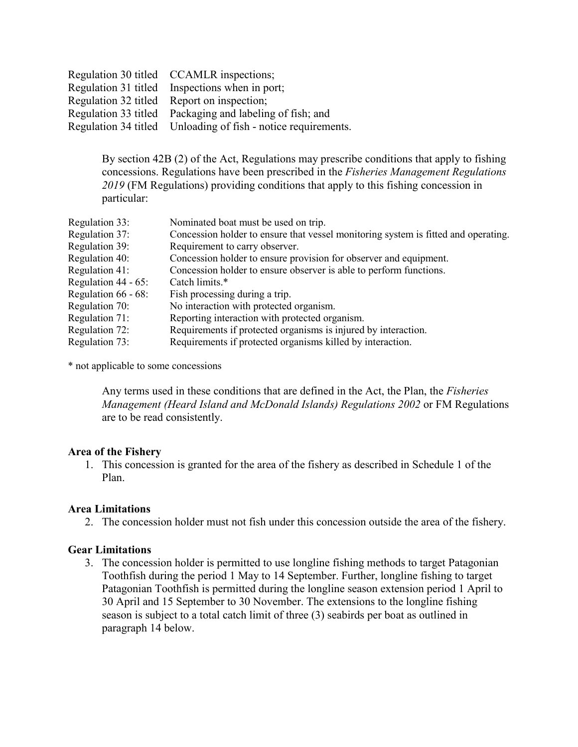| Regulation 30 titled CCAMLR inspections;                      |
|---------------------------------------------------------------|
| Regulation 31 titled Inspections when in port;                |
| Regulation 32 titled Report on inspection;                    |
| Regulation 33 titled Packaging and labeling of fish; and      |
| Regulation 34 titled Unloading of fish - notice requirements. |

By section 42B (2) of the Act, Regulations may prescribe conditions that apply to fishing concessions. Regulations have been prescribed in the *Fisheries Management Regulations 2019* (FM Regulations) providing conditions that apply to this fishing concession in particular:

| Regulation 33:      | Nominated boat must be used on trip.                                               |
|---------------------|------------------------------------------------------------------------------------|
| Regulation 37:      | Concession holder to ensure that vessel monitoring system is fitted and operating. |
| Regulation 39:      | Requirement to carry observer.                                                     |
| Regulation 40:      | Concession holder to ensure provision for observer and equipment.                  |
| Regulation 41:      | Concession holder to ensure observer is able to perform functions.                 |
| Regulation 44 - 65: | Catch limits.*                                                                     |
| Regulation 66 - 68: | Fish processing during a trip.                                                     |
| Regulation 70:      | No interaction with protected organism.                                            |
| Regulation 71:      | Reporting interaction with protected organism.                                     |
| Regulation 72:      | Requirements if protected organisms is injured by interaction.                     |
| Regulation 73:      | Requirements if protected organisms killed by interaction.                         |

\* not applicable to some concessions

Any terms used in these conditions that are defined in the Act, the Plan, the *Fisheries Management (Heard Island and McDonald Islands) Regulations 2002* or FM Regulations are to be read consistently.

## **Area of the Fishery**

1. This concession is granted for the area of the fishery as described in Schedule 1 of the Plan.

## **Area Limitations**

2. The concession holder must not fish under this concession outside the area of the fishery.

#### **Gear Limitations**

3. The concession holder is permitted to use longline fishing methods to target Patagonian Toothfish during the period 1 May to 14 September. Further, longline fishing to target Patagonian Toothfish is permitted during the longline season extension period 1 April to 30 April and 15 September to 30 November. The extensions to the longline fishing season is subject to a total catch limit of three (3) seabirds per boat as outlined in paragraph 14 below.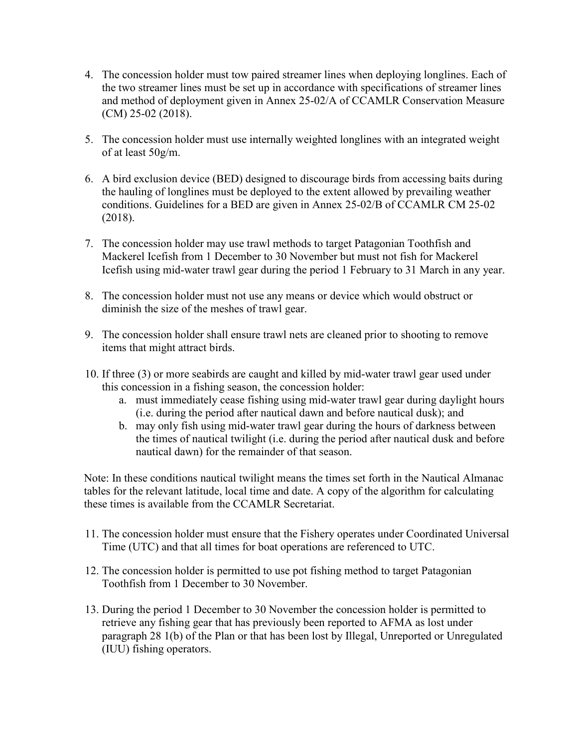- 4. The concession holder must tow paired streamer lines when deploying longlines. Each of the two streamer lines must be set up in accordance with specifications of streamer lines and method of deployment given in Annex 25-02/A of CCAMLR Conservation Measure (CM) 25-02 (2018).
- 5. The concession holder must use internally weighted longlines with an integrated weight of at least 50g/m.
- 6. A bird exclusion device (BED) designed to discourage birds from accessing baits during the hauling of longlines must be deployed to the extent allowed by prevailing weather conditions. Guidelines for a BED are given in Annex 25-02/B of CCAMLR CM 25-02 (2018).
- 7. The concession holder may use trawl methods to target Patagonian Toothfish and Mackerel Icefish from 1 December to 30 November but must not fish for Mackerel Icefish using mid-water trawl gear during the period 1 February to 31 March in any year.
- 8. The concession holder must not use any means or device which would obstruct or diminish the size of the meshes of trawl gear.
- 9. The concession holder shall ensure trawl nets are cleaned prior to shooting to remove items that might attract birds.
- 10. If three (3) or more seabirds are caught and killed by mid-water trawl gear used under this concession in a fishing season, the concession holder:
	- a. must immediately cease fishing using mid-water trawl gear during daylight hours (i.e. during the period after nautical dawn and before nautical dusk); and
	- b. may only fish using mid-water trawl gear during the hours of darkness between the times of nautical twilight (i.e. during the period after nautical dusk and before nautical dawn) for the remainder of that season.

Note: In these conditions nautical twilight means the times set forth in the Nautical Almanac tables for the relevant latitude, local time and date. A copy of the algorithm for calculating these times is available from the CCAMLR Secretariat.

- 11. The concession holder must ensure that the Fishery operates under Coordinated Universal Time (UTC) and that all times for boat operations are referenced to UTC.
- 12. The concession holder is permitted to use pot fishing method to target Patagonian Toothfish from 1 December to 30 November.
- 13. During the period 1 December to 30 November the concession holder is permitted to retrieve any fishing gear that has previously been reported to AFMA as lost under paragraph 28 1(b) of the Plan or that has been lost by Illegal, Unreported or Unregulated (IUU) fishing operators.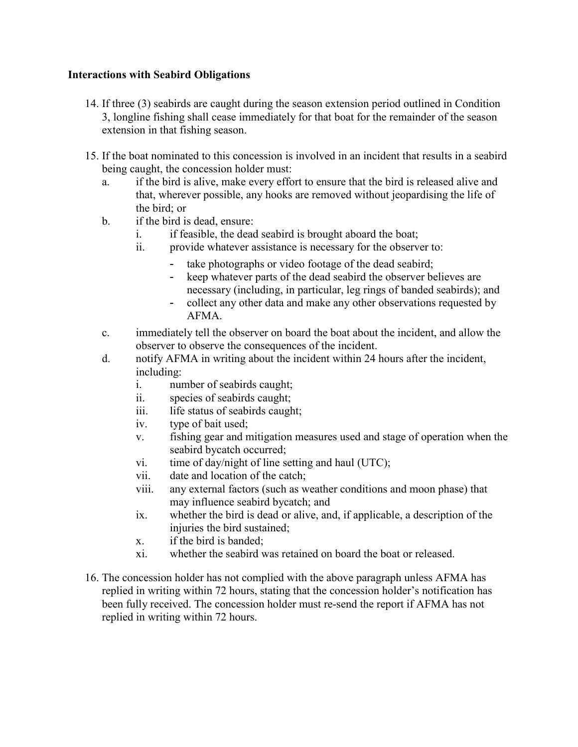## **Interactions with Seabird Obligations**

- 14. If three (3) seabirds are caught during the season extension period outlined in Condition 3, longline fishing shall cease immediately for that boat for the remainder of the season extension in that fishing season.
- 15. If the boat nominated to this concession is involved in an incident that results in a seabird being caught, the concession holder must:
	- a. if the bird is alive, make every effort to ensure that the bird is released alive and that, wherever possible, any hooks are removed without jeopardising the life of the bird; or
	- b. if the bird is dead, ensure:
		- i. if feasible, the dead seabird is brought aboard the boat;
		- ii. provide whatever assistance is necessary for the observer to:
			- take photographs or video footage of the dead seabird;
			- keep whatever parts of the dead seabird the observer believes are necessary (including, in particular, leg rings of banded seabirds); and
			- collect any other data and make any other observations requested by AFMA.
	- c. immediately tell the observer on board the boat about the incident, and allow the observer to observe the consequences of the incident.
	- d. notify AFMA in writing about the incident within 24 hours after the incident, including:
		- i. number of seabirds caught;
		- ii. species of seabirds caught;
		- iii. life status of seabirds caught;
		- iv. type of bait used;
		- v. fishing gear and mitigation measures used and stage of operation when the seabird bycatch occurred;
		- vi. time of day/night of line setting and haul (UTC);
		- vii. date and location of the catch;
		- viii. any external factors (such as weather conditions and moon phase) that may influence seabird bycatch; and
		- ix. whether the bird is dead or alive, and, if applicable, a description of the injuries the bird sustained;
		- x. if the bird is banded;
		- xi. whether the seabird was retained on board the boat or released.
- 16. The concession holder has not complied with the above paragraph unless AFMA has replied in writing within 72 hours, stating that the concession holder's notification has been fully received. The concession holder must re-send the report if AFMA has not replied in writing within 72 hours.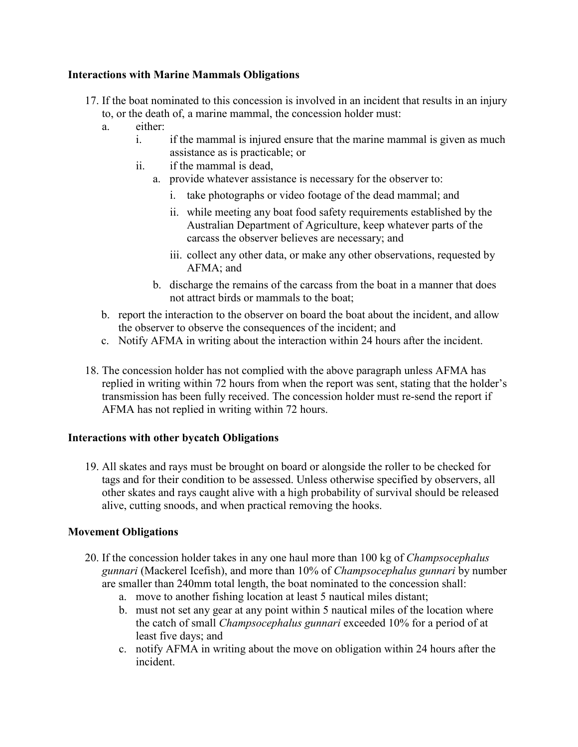## **Interactions with Marine Mammals Obligations**

- 17. If the boat nominated to this concession is involved in an incident that results in an injury to, or the death of, a marine mammal, the concession holder must:
	- a. either:
		- i. if the mammal is injured ensure that the marine mammal is given as much assistance as is practicable; or
		- ii. if the mammal is dead,
			- a. provide whatever assistance is necessary for the observer to:
				- i. take photographs or video footage of the dead mammal; and
				- ii. while meeting any boat food safety requirements established by the Australian Department of Agriculture, keep whatever parts of the carcass the observer believes are necessary; and
				- iii. collect any other data, or make any other observations, requested by AFMA; and
			- b. discharge the remains of the carcass from the boat in a manner that does not attract birds or mammals to the boat;
	- b. report the interaction to the observer on board the boat about the incident, and allow the observer to observe the consequences of the incident; and
	- c. Notify AFMA in writing about the interaction within 24 hours after the incident.
- 18. The concession holder has not complied with the above paragraph unless AFMA has replied in writing within 72 hours from when the report was sent, stating that the holder's transmission has been fully received. The concession holder must re-send the report if AFMA has not replied in writing within 72 hours.

## **Interactions with other bycatch Obligations**

19. All skates and rays must be brought on board or alongside the roller to be checked for tags and for their condition to be assessed. Unless otherwise specified by observers, all other skates and rays caught alive with a high probability of survival should be released alive, cutting snoods, and when practical removing the hooks.

## **Movement Obligations**

- 20. If the concession holder takes in any one haul more than 100 kg of *Champsocephalus gunnari* (Mackerel Icefish), and more than 10% of *Champsocephalus gunnari* by number are smaller than 240mm total length, the boat nominated to the concession shall:
	- a. move to another fishing location at least 5 nautical miles distant;
	- b. must not set any gear at any point within 5 nautical miles of the location where the catch of small *Champsocephalus gunnari* exceeded 10% for a period of at least five days; and
	- c. notify AFMA in writing about the move on obligation within 24 hours after the incident.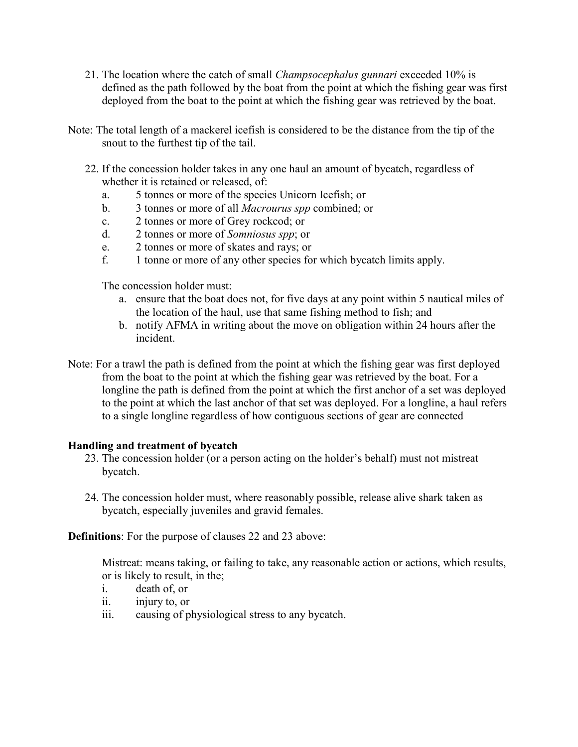- 21. The location where the catch of small *Champsocephalus gunnari* exceeded 10% is defined as the path followed by the boat from the point at which the fishing gear was first deployed from the boat to the point at which the fishing gear was retrieved by the boat.
- Note: The total length of a mackerel icefish is considered to be the distance from the tip of the snout to the furthest tip of the tail.
	- 22. If the concession holder takes in any one haul an amount of bycatch, regardless of whether it is retained or released, of:
		- a. 5 tonnes or more of the species Unicorn Icefish; or
		- b. 3 tonnes or more of all *Macrourus spp* combined; or
		- c. 2 tonnes or more of Grey rockcod; or
		- d. 2 tonnes or more of *Somniosus spp*; or
		- e. 2 tonnes or more of skates and rays; or
		- f. 1 tonne or more of any other species for which bycatch limits apply.

The concession holder must:

- a. ensure that the boat does not, for five days at any point within 5 nautical miles of the location of the haul, use that same fishing method to fish; and
- b. notify AFMA in writing about the move on obligation within 24 hours after the incident.
- Note: For a trawl the path is defined from the point at which the fishing gear was first deployed from the boat to the point at which the fishing gear was retrieved by the boat. For a longline the path is defined from the point at which the first anchor of a set was deployed to the point at which the last anchor of that set was deployed. For a longline, a haul refers to a single longline regardless of how contiguous sections of gear are connected

## **Handling and treatment of bycatch**

- 23. The concession holder (or a person acting on the holder's behalf) must not mistreat bycatch.
- 24. The concession holder must, where reasonably possible, release alive shark taken as bycatch, especially juveniles and gravid females.

**Definitions**: For the purpose of clauses 22 and 23 above:

Mistreat: means taking, or failing to take, any reasonable action or actions, which results, or is likely to result, in the;

- i. death of, or
- ii. injury to, or
- iii. causing of physiological stress to any bycatch.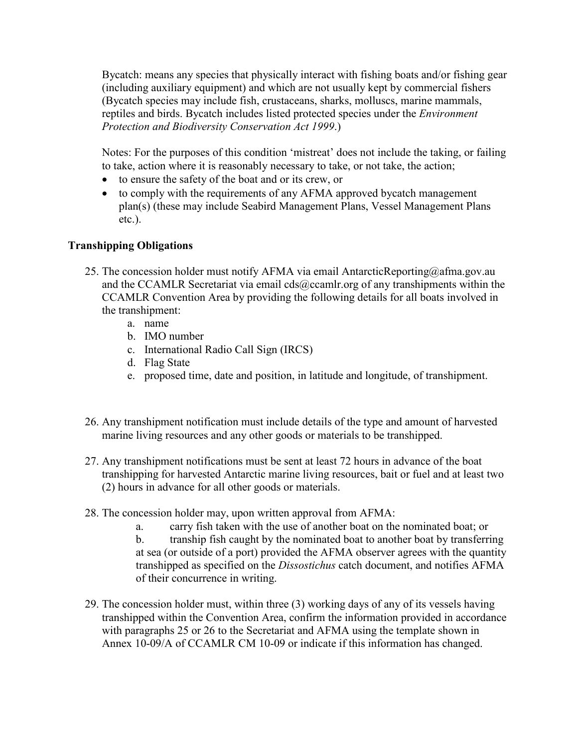Bycatch: means any species that physically interact with fishing boats and/or fishing gear (including auxiliary equipment) and which are not usually kept by commercial fishers (Bycatch species may include fish, crustaceans, sharks, molluscs, marine mammals, reptiles and birds. Bycatch includes listed protected species under the *Environment Protection and Biodiversity Conservation Act 1999*.)

Notes: For the purposes of this condition 'mistreat' does not include the taking, or failing to take, action where it is reasonably necessary to take, or not take, the action;

- to ensure the safety of the boat and or its crew, or
- to comply with the requirements of any AFMA approved bycatch management plan(s) (these may include Seabird Management Plans, Vessel Management Plans etc.).

# **Transhipping Obligations**

- 25. The concession holder must notify AFMA via email [AntarcticReporting@afma.gov.au](mailto:AntarcticReporting@afma.gov.au) and the CCAMLR Secretariat via email [cds@ccamlr.org](mailto:cds@ccamlr.org) of any transhipments within the CCAMLR Convention Area by providing the following details for all boats involved in the transhipment:
	- a. name
	- b. IMO number
	- c. International Radio Call Sign (IRCS)
	- d. Flag State
	- e. proposed time, date and position, in latitude and longitude, of transhipment.
- 26. Any transhipment notification must include details of the type and amount of harvested marine living resources and any other goods or materials to be transhipped.
- 27. Any transhipment notifications must be sent at least 72 hours in advance of the boat transhipping for harvested Antarctic marine living resources, bait or fuel and at least two (2) hours in advance for all other goods or materials.
- 28. The concession holder may, upon written approval from AFMA:
	- a. carry fish taken with the use of another boat on the nominated boat; or

b. tranship fish caught by the nominated boat to another boat by transferring at sea (or outside of a port) provided the AFMA observer agrees with the quantity transhipped as specified on the *Dissostichus* catch document, and notifies AFMA of their concurrence in writing.

29. The concession holder must, within three (3) working days of any of its vessels having transhipped within the Convention Area, confirm the information provided in accordance with paragraphs 25 or 26 to the Secretariat and AFMA using the template shown in Annex 10-09/A of CCAMLR CM 10-09 or indicate if this information has changed.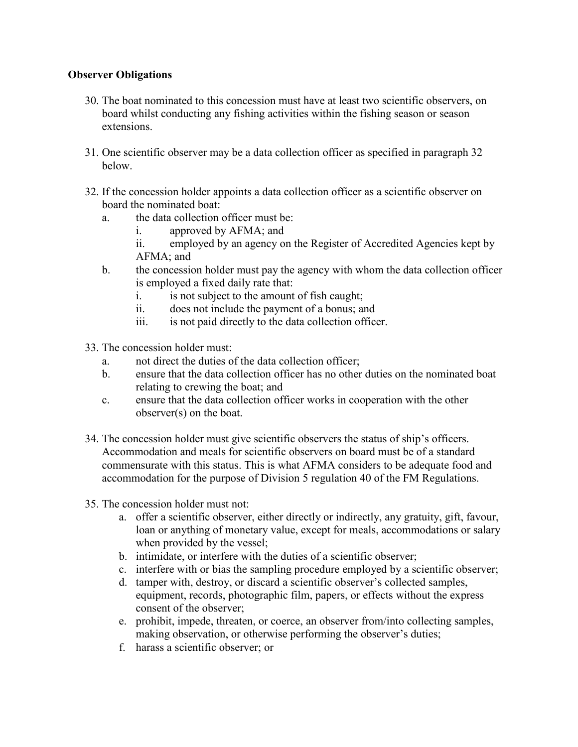## **Observer Obligations**

- 30. The boat nominated to this concession must have at least two scientific observers, on board whilst conducting any fishing activities within the fishing season or season extensions.
- 31. One scientific observer may be a data collection officer as specified in paragraph 32 below.
- 32. If the concession holder appoints a data collection officer as a scientific observer on board the nominated boat:
	- a. the data collection officer must be:
		- i. approved by AFMA; and
		- ii. employed by an agency on the Register of Accredited Agencies kept by AFMA; and
	- b. the concession holder must pay the agency with whom the data collection officer is employed a fixed daily rate that:
		- i. is not subject to the amount of fish caught;
		- ii. does not include the payment of a bonus; and
		- iii. is not paid directly to the data collection officer.
- 33. The concession holder must:
	- a. not direct the duties of the data collection officer;
	- b. ensure that the data collection officer has no other duties on the nominated boat relating to crewing the boat; and
	- c. ensure that the data collection officer works in cooperation with the other observer(s) on the boat.
- 34. The concession holder must give scientific observers the status of ship's officers. Accommodation and meals for scientific observers on board must be of a standard commensurate with this status. This is what AFMA considers to be adequate food and accommodation for the purpose of Division 5 regulation 40 of the FM Regulations.
- 35. The concession holder must not:
	- a. offer a scientific observer, either directly or indirectly, any gratuity, gift, favour, loan or anything of monetary value, except for meals, accommodations or salary when provided by the vessel;
	- b. intimidate, or interfere with the duties of a scientific observer;
	- c. interfere with or bias the sampling procedure employed by a scientific observer;
	- d. tamper with, destroy, or discard a scientific observer's collected samples, equipment, records, photographic film, papers, or effects without the express consent of the observer;
	- e. prohibit, impede, threaten, or coerce, an observer from/into collecting samples, making observation, or otherwise performing the observer's duties;
	- f. harass a scientific observer; or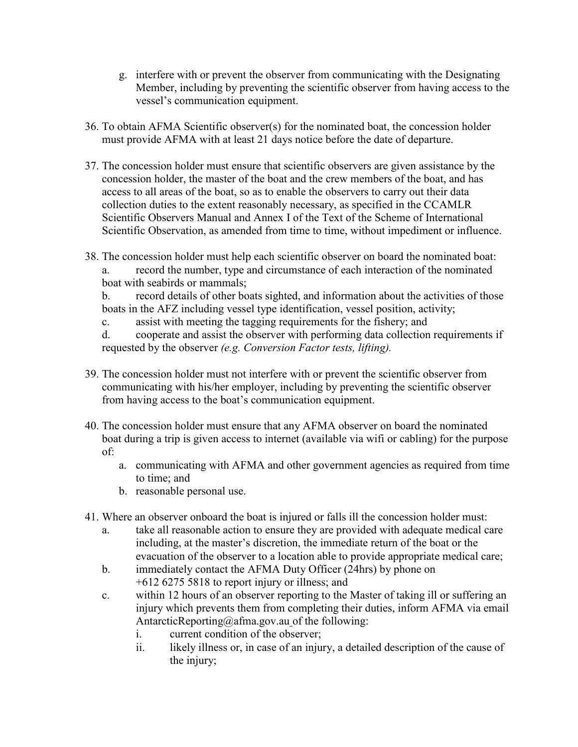- g. interfere with or prevent the observer from communicating with the Designating Member, including by preventing the scientific observer from having access to the vessel's communication equipment.
- 36. To obtain AFMA Scientific observer(s) for the nominated boat, the concession holder must provide AFMA with at least 21 days notice before the date of departure.
- 37. The concession holder must ensure that scientific observers are given assistance by the concession holder, the master of the boat and the crew members of the boat, and has access to all areas of the boat, so as to enable the observers to carry out their data collection duties to the extent reasonably necessary, as specified in the CCAMLR Scientific Observers Manual and Annex I of the Text of the Scheme of International Scientific Observation, as amended from time to time, without impediment or influence.
- 38. The concession holder must help each scientific observer on board the nominated boat:

a. record the number, type and circumstance of each interaction of the nominated boat with seabirds or mammals;

b. record details of other boats sighted, and information about the activities of those boats in the AFZ including vessel type identification, vessel position, activity;

c. assist with meeting the tagging requirements for the fishery; and

d. cooperate and assist the observer with performing data collection requirements if requested by the observer *(e.g. Conversion Factor tests, lifting).*

- 39. The concession holder must not interfere with or prevent the scientific observer from communicating with his/her employer, including by preventing the scientific observer from having access to the boat's communication equipment.
- 40. The concession holder must ensure that any AFMA observer on board the nominated boat during a trip is given access to internet (available via wifi or cabling) for the purpose of:
	- a. communicating with AFMA and other government agencies as required from time to time; and
	- b. reasonable personal use.
- 41. Where an observer onboard the boat is injured or falls ill the concession holder must:
	- a. take all reasonable action to ensure they are provided with adequate medical care including, at the master's discretion, the immediate return of the boat or the evacuation of the observer to a location able to provide appropriate medical care;
	- b. immediately contact the AFMA Duty Officer (24hrs) by phone on +612 6275 5818 to report injury or illness; and
	- c. within 12 hours of an observer reporting to the Master of taking ill or suffering an injury which prevents them from completing their duties, inform AFMA via email AntarcticReporting@afma.gov.au of the following:
		- i. current condition of the observer;
		- ii. likely illness or, in case of an injury, a detailed description of the cause of the injury;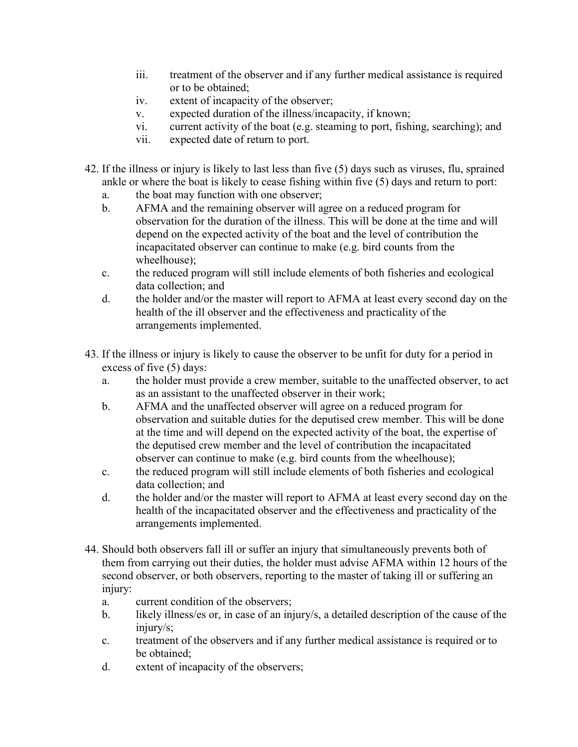- iii. treatment of the observer and if any further medical assistance is required or to be obtained;
- iv. extent of incapacity of the observer;
- v. expected duration of the illness/incapacity, if known;
- vi. current activity of the boat (e.g. steaming to port, fishing, searching); and
- vii. expected date of return to port.
- 42. If the illness or injury is likely to last less than five (5) days such as viruses, flu, sprained ankle or where the boat is likely to cease fishing within five (5) days and return to port:
	- a. the boat may function with one observer;
	- b. AFMA and the remaining observer will agree on a reduced program for observation for the duration of the illness. This will be done at the time and will depend on the expected activity of the boat and the level of contribution the incapacitated observer can continue to make (e.g. bird counts from the wheelhouse);
	- c. the reduced program will still include elements of both fisheries and ecological data collection; and
	- d. the holder and/or the master will report to AFMA at least every second day on the health of the ill observer and the effectiveness and practicality of the arrangements implemented.
- 43. If the illness or injury is likely to cause the observer to be unfit for duty for a period in excess of five (5) days:
	- a. the holder must provide a crew member, suitable to the unaffected observer, to act as an assistant to the unaffected observer in their work;
	- b. AFMA and the unaffected observer will agree on a reduced program for observation and suitable duties for the deputised crew member. This will be done at the time and will depend on the expected activity of the boat, the expertise of the deputised crew member and the level of contribution the incapacitated observer can continue to make (e.g. bird counts from the wheelhouse);
	- c. the reduced program will still include elements of both fisheries and ecological data collection; and
	- d. the holder and/or the master will report to AFMA at least every second day on the health of the incapacitated observer and the effectiveness and practicality of the arrangements implemented.
- 44. Should both observers fall ill or suffer an injury that simultaneously prevents both of them from carrying out their duties, the holder must advise AFMA within 12 hours of the second observer, or both observers, reporting to the master of taking ill or suffering an injury:
	- a. current condition of the observers;
	- b. likely illness/es or, in case of an injury/s, a detailed description of the cause of the injury/s;
	- c. treatment of the observers and if any further medical assistance is required or to be obtained;
	- d. extent of incapacity of the observers;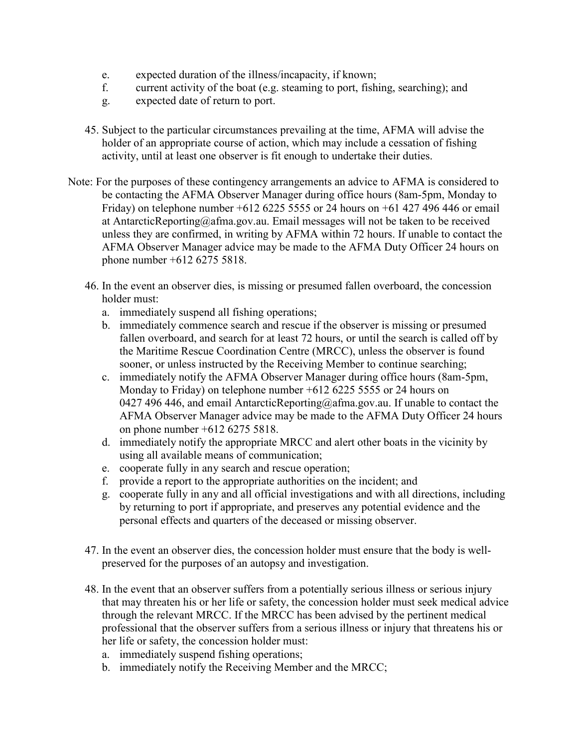- e. expected duration of the illness/incapacity, if known;
- f. current activity of the boat (e.g. steaming to port, fishing, searching); and
- g. expected date of return to port.
- 45. Subject to the particular circumstances prevailing at the time, AFMA will advise the holder of an appropriate course of action, which may include a cessation of fishing activity, until at least one observer is fit enough to undertake their duties.
- Note: For the purposes of these contingency arrangements an advice to AFMA is considered to be contacting the AFMA Observer Manager during office hours (8am-5pm, Monday to Friday) on telephone number  $+612$  6225 5555 or 24 hours on  $+61$  427 496 446 or email at AntarcticReporting@afma.gov.au. Email messages will not be taken to be received unless they are confirmed, in writing by AFMA within 72 hours. If unable to contact the AFMA Observer Manager advice may be made to the AFMA Duty Officer 24 hours on phone number +612 6275 5818.
	- 46. In the event an observer dies, is missing or presumed fallen overboard, the concession holder must:
		- a. immediately suspend all fishing operations;
		- b. immediately commence search and rescue if the observer is missing or presumed fallen overboard, and search for at least 72 hours, or until the search is called off by the Maritime Rescue Coordination Centre (MRCC), unless the observer is found sooner, or unless instructed by the Receiving Member to continue searching;
		- c. immediately notify the AFMA Observer Manager during office hours (8am-5pm, Monday to Friday) on telephone number +612 6225 5555 or 24 hours on 0427 496 446, and email [AntarcticReporting@afma.gov.au.](mailto:AntarcticReporting@afma.gov.au) If unable to contact the AFMA Observer Manager advice may be made to the AFMA Duty Officer 24 hours on phone number +612 6275 5818.
		- d. immediately notify the appropriate MRCC and alert other boats in the vicinity by using all available means of communication;
		- e. cooperate fully in any search and rescue operation;
		- f. provide a report to the appropriate authorities on the incident; and
		- g. cooperate fully in any and all official investigations and with all directions, including by returning to port if appropriate, and preserves any potential evidence and the personal effects and quarters of the deceased or missing observer.
	- 47. In the event an observer dies, the concession holder must ensure that the body is wellpreserved for the purposes of an autopsy and investigation.
	- 48. In the event that an observer suffers from a potentially serious illness or serious injury that may threaten his or her life or safety, the concession holder must seek medical advice through the relevant MRCC. If the MRCC has been advised by the pertinent medical professional that the observer suffers from a serious illness or injury that threatens his or her life or safety, the concession holder must:
		- a. immediately suspend fishing operations;
		- b. immediately notify the Receiving Member and the MRCC;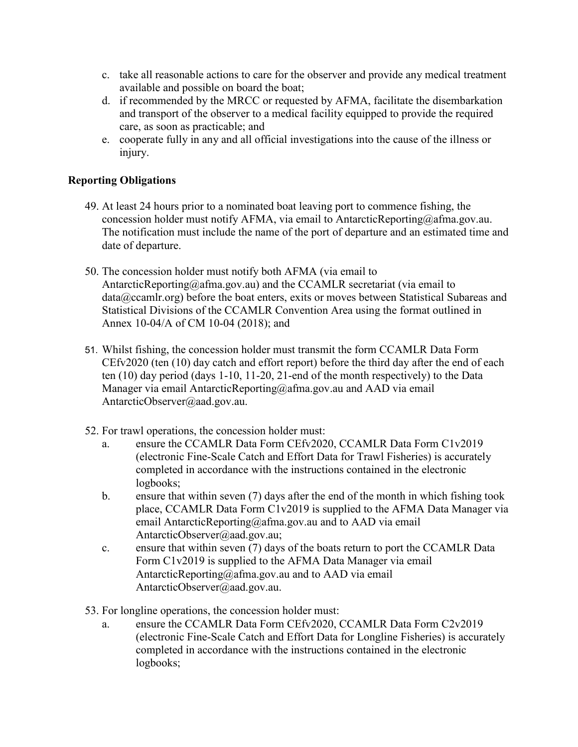- c. take all reasonable actions to care for the observer and provide any medical treatment available and possible on board the boat;
- d. if recommended by the MRCC or requested by AFMA, facilitate the disembarkation and transport of the observer to a medical facility equipped to provide the required care, as soon as practicable; and
- e. cooperate fully in any and all official investigations into the cause of the illness or injury.

## **Reporting Obligations**

- 49. At least 24 hours prior to a nominated boat leaving port to commence fishing, the concession holder must notify AFMA, via email to AntarcticReporting@afma.gov.au. The notification must include the name of the port of departure and an estimated time and date of departure.
- 50. The concession holder must notify both AFMA (via email to AntarcticReporting@afma.gov.au) and the CCAMLR secretariat (via email to [data@ccamlr.org\)](mailto:data@ccamlr.org) before the boat enters, exits or moves between Statistical Subareas and Statistical Divisions of the CCAMLR Convention Area using the format outlined in Annex 10-04/A of CM 10-04 (2018); and
- 51. Whilst fishing, the concession holder must transmit the form CCAMLR Data Form CEfv2020 (ten (10) day catch and effort report) before the third day after the end of each ten (10) day period (days 1-10, 11-20, 21-end of the month respectively) to the Data Manager via email AntarcticReporting@afma.gov.au and AAD via email AntarcticObserver@aad.gov.au.
- 52. For trawl operations, the concession holder must:
	- a. ensure the CCAMLR Data Form CEfv2020, CCAMLR Data Form C1v2019 (electronic Fine-Scale Catch and Effort Data for Trawl Fisheries) is accurately completed in accordance with the instructions contained in the electronic logbooks;
	- b. ensure that within seven (7) days after the end of the month in which fishing took place, CCAMLR Data Form C1v2019 is supplied to the AFMA Data Manager via email AntarcticReporting@afma.gov.au and to AAD via email AntarcticObserver@aad.gov.au;
	- c. ensure that within seven (7) days of the boats return to port the CCAMLR Data Form C1v2019 is supplied to the AFMA Data Manager via email AntarcticReporting@afma.gov.au and to AAD via email AntarcticObserver@aad.gov.au.
- 53. For longline operations, the concession holder must:
	- a. ensure the CCAMLR Data Form CEfv2020, CCAMLR Data Form C2v2019 (electronic Fine-Scale Catch and Effort Data for Longline Fisheries) is accurately completed in accordance with the instructions contained in the electronic logbooks;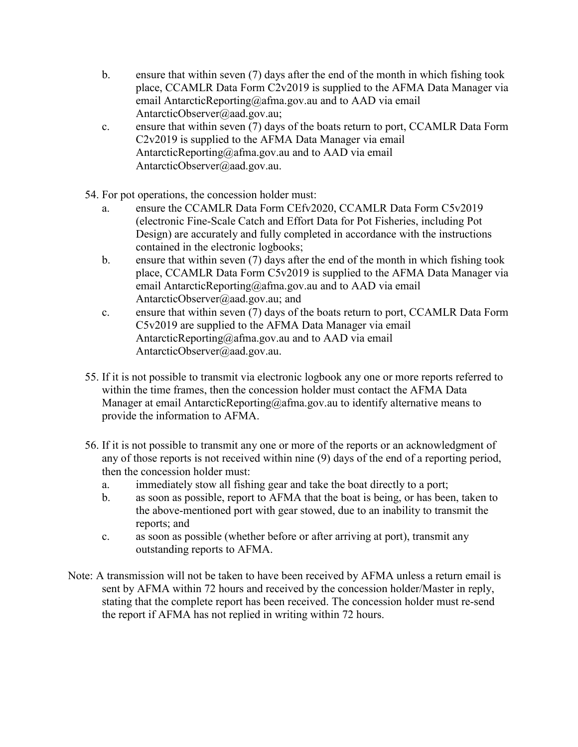- b. ensure that within seven (7) days after the end of the month in which fishing took place, CCAMLR Data Form C2v2019 is supplied to the AFMA Data Manager via email AntarcticReporting@afma.gov.au and to AAD via email AntarcticObserver@aad.gov.au;
- c. ensure that within seven (7) days of the boats return to port, CCAMLR Data Form C2v2019 is supplied to the AFMA Data Manager via email AntarcticReporting@afma.gov.au and to AAD via email AntarcticObserver@aad.gov.au.
- 54. For pot operations, the concession holder must:
	- a. ensure the CCAMLR Data Form CEfv2020, CCAMLR Data Form C5v2019 (electronic Fine-Scale Catch and Effort Data for Pot Fisheries, including Pot Design) are accurately and fully completed in accordance with the instructions contained in the electronic logbooks;
	- b. ensure that within seven (7) days after the end of the month in which fishing took place, CCAMLR Data Form C5v2019 is supplied to the AFMA Data Manager via email AntarcticReporting@afma.gov.au and to AAD via email AntarcticObserver@aad.gov.au; and
	- c. ensure that within seven (7) days of the boats return to port, CCAMLR Data Form C5v2019 are supplied to the AFMA Data Manager via email [AntarcticReporting@afma.gov.au](mailto:AntarcticReporting@afma.gov.au) and to AAD via email AntarcticObserver@aad.gov.au.
- 55. If it is not possible to transmit via electronic logbook any one or more reports referred to within the time frames, then the concession holder must contact the AFMA Data Manager at email AntarcticReporting@afma.gov.au to identify alternative means to provide the information to AFMA.
- 56. If it is not possible to transmit any one or more of the reports or an acknowledgment of any of those reports is not received within nine (9) days of the end of a reporting period, then the concession holder must:
	- a. immediately stow all fishing gear and take the boat directly to a port;
	- b. as soon as possible, report to AFMA that the boat is being, or has been, taken to the above-mentioned port with gear stowed, due to an inability to transmit the reports; and
	- c. as soon as possible (whether before or after arriving at port), transmit any outstanding reports to AFMA.
- Note: A transmission will not be taken to have been received by AFMA unless a return email is sent by AFMA within 72 hours and received by the concession holder/Master in reply, stating that the complete report has been received. The concession holder must re-send the report if AFMA has not replied in writing within 72 hours.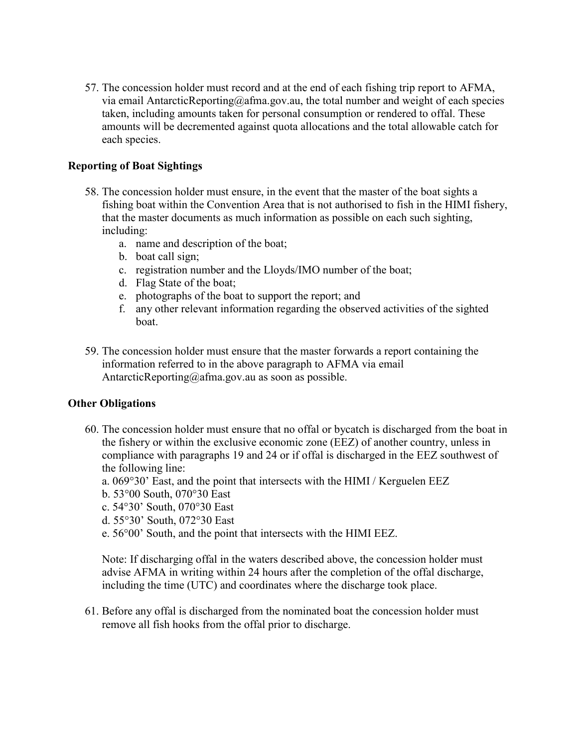57. The concession holder must record and at the end of each fishing trip report to AFMA, via email [AntarcticReporting@afma.gov.au,](mailto:AntarcticReporting@afma.gov.au) the total number and weight of each species taken, including amounts taken for personal consumption or rendered to offal. These amounts will be decremented against quota allocations and the total allowable catch for each species.

## **Reporting of Boat Sightings**

- 58. The concession holder must ensure, in the event that the master of the boat sights a fishing boat within the Convention Area that is not authorised to fish in the HIMI fishery, that the master documents as much information as possible on each such sighting, including:
	- a. name and description of the boat;
	- b. boat call sign;
	- c. registration number and the Lloyds/IMO number of the boat;
	- d. Flag State of the boat;
	- e. photographs of the boat to support the report; and
	- f. any other relevant information regarding the observed activities of the sighted boat.
- 59. The concession holder must ensure that the master forwards a report containing the information referred to in the above paragraph to AFMA via email AntarcticReporting@afma.gov.au as soon as possible.

## **Other Obligations**

- 60. The concession holder must ensure that no offal or bycatch is discharged from the boat in the fishery or within the exclusive economic zone (EEZ) of another country, unless in compliance with paragraphs 19 and 24 or if offal is discharged in the EEZ southwest of the following line:
	- a. 069°30' East, and the point that intersects with the HIMI / Kerguelen EEZ
	- b. 53°00 South, 070°30 East
	- c. 54°30' South, 070°30 East
	- d. 55°30' South, 072°30 East
	- e. 56°00' South, and the point that intersects with the HIMI EEZ.

Note: If discharging offal in the waters described above, the concession holder must advise AFMA in writing within 24 hours after the completion of the offal discharge, including the time (UTC) and coordinates where the discharge took place.

61. Before any offal is discharged from the nominated boat the concession holder must remove all fish hooks from the offal prior to discharge.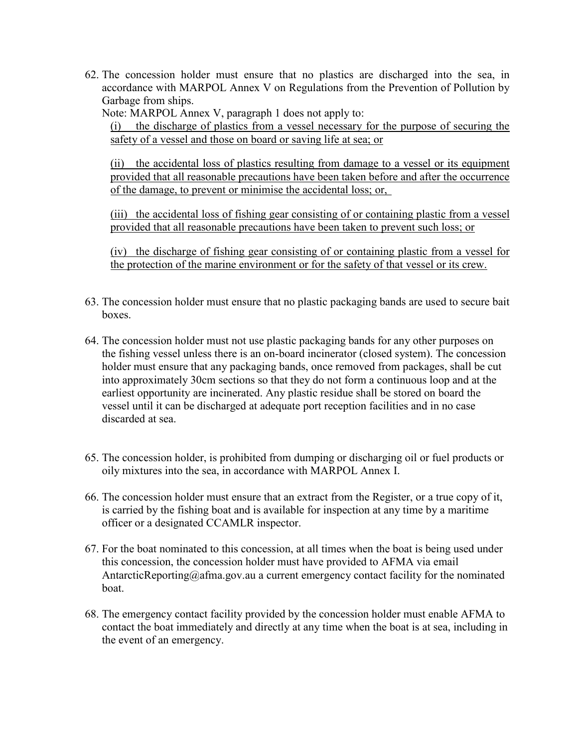62. The concession holder must ensure that no plastics are discharged into the sea, in accordance with MARPOL Annex V on Regulations from the Prevention of Pollution by Garbage from ships.

Note: MARPOL Annex V, paragraph 1 does not apply to:

(i) the discharge of plastics from a vessel necessary for the purpose of securing the safety of a vessel and those on board or saving life at sea; or

(ii) the accidental loss of plastics resulting from damage to a vessel or its equipment provided that all reasonable precautions have been taken before and after the occurrence of the damage, to prevent or minimise the accidental loss; or,

(iii) the accidental loss of fishing gear consisting of or containing plastic from a vessel provided that all reasonable precautions have been taken to prevent such loss; or

(iv) the discharge of fishing gear consisting of or containing plastic from a vessel for the protection of the marine environment or for the safety of that vessel or its crew.

- 63. The concession holder must ensure that no plastic packaging bands are used to secure bait boxes.
- 64. The concession holder must not use plastic packaging bands for any other purposes on the fishing vessel unless there is an on-board incinerator (closed system). The concession holder must ensure that any packaging bands, once removed from packages, shall be cut into approximately 30cm sections so that they do not form a continuous loop and at the earliest opportunity are incinerated. Any plastic residue shall be stored on board the vessel until it can be discharged at adequate port reception facilities and in no case discarded at sea.
- 65. The concession holder, is prohibited from dumping or discharging oil or fuel products or oily mixtures into the sea, in accordance with MARPOL Annex I.
- 66. The concession holder must ensure that an extract from the Register, or a true copy of it, is carried by the fishing boat and is available for inspection at any time by a maritime officer or a designated CCAMLR inspector.
- 67. For the boat nominated to this concession, at all times when the boat is being used under this concession, the concession holder must have provided to AFMA via email AntarcticReporting@afma.gov.au a current emergency contact facility for the nominated boat.
- 68. The emergency contact facility provided by the concession holder must enable AFMA to contact the boat immediately and directly at any time when the boat is at sea, including in the event of an emergency.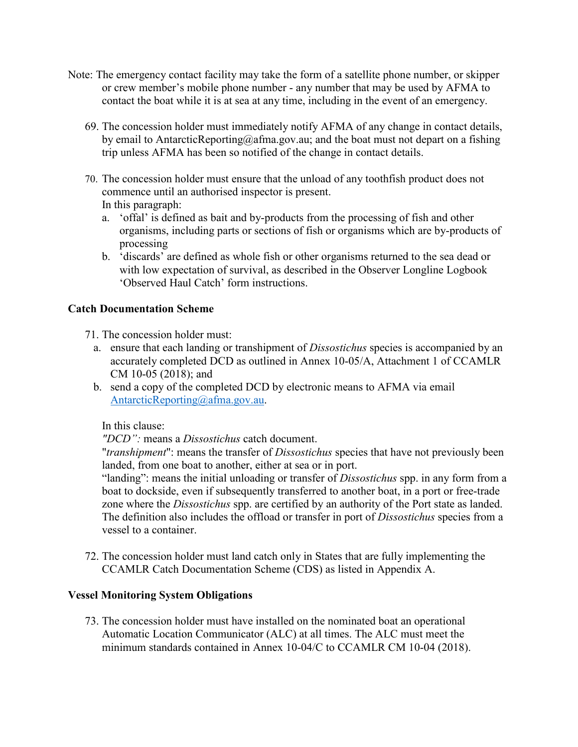- Note: The emergency contact facility may take the form of a satellite phone number, or skipper or crew member's mobile phone number - any number that may be used by AFMA to contact the boat while it is at sea at any time, including in the event of an emergency.
	- 69. The concession holder must immediately notify AFMA of any change in contact details, by email to AntarcticReporting@afma.gov.au; and the boat must not depart on a fishing trip unless AFMA has been so notified of the change in contact details.
	- 70. The concession holder must ensure that the unload of any toothfish product does not commence until an authorised inspector is present. In this paragraph:
		- a. 'offal' is defined as bait and by-products from the processing of fish and other organisms, including parts or sections of fish or organisms which are by-products of processing
		- b. 'discards' are defined as whole fish or other organisms returned to the sea dead or with low expectation of survival, as described in the Observer Longline Logbook 'Observed Haul Catch' form instructions.

## **Catch Documentation Scheme**

- 71. The concession holder must:
	- a. ensure that each landing or transhipment of *Dissostichus* species is accompanied by an accurately completed DCD as outlined in Annex 10-05/A, Attachment 1 of CCAMLR CM 10-05 (2018); and
	- b. send a copy of the completed DCD by electronic means to AFMA via email [AntarcticReporting@afma.gov.au.](mailto:AntarcticReporting@afma.gov.au)

In this clause:

*"DCD":* means a *Dissostichus* catch document.

"*transhipment*": means the transfer of *Dissostichus* species that have not previously been landed, from one boat to another, either at sea or in port.

"landing": means the initial unloading or transfer of *Dissostichus* spp. in any form from a boat to dockside, even if subsequently transferred to another boat, in a port or free-trade zone where the *Dissostichus* spp. are certified by an authority of the Port state as landed. The definition also includes the offload or transfer in port of *Dissostichus* species from a vessel to a container.

72. The concession holder must land catch only in States that are fully implementing the CCAMLR Catch Documentation Scheme (CDS) as listed in Appendix A.

## **Vessel Monitoring System Obligations**

73. The concession holder must have installed on the nominated boat an operational Automatic Location Communicator (ALC) at all times. The ALC must meet the minimum standards contained in Annex 10-04/C to CCAMLR CM 10-04 (2018).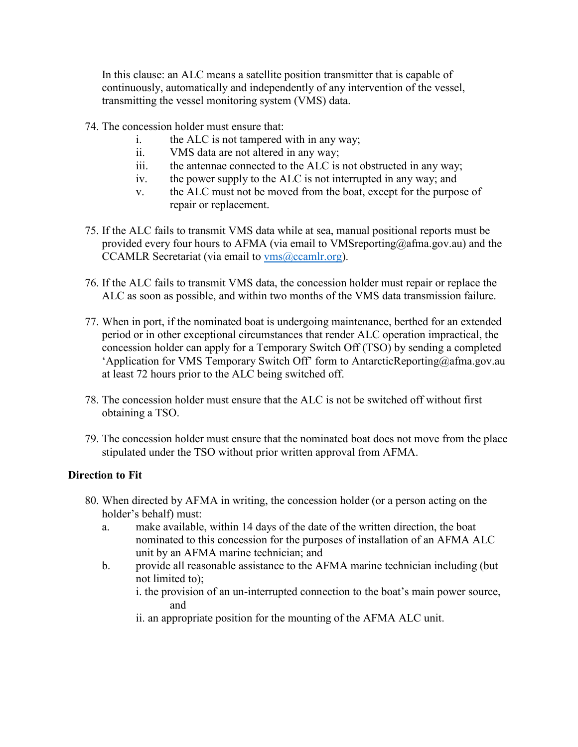In this clause: an ALC means a satellite position transmitter that is capable of continuously, automatically and independently of any intervention of the vessel, transmitting the vessel monitoring system (VMS) data.

- 74. The concession holder must ensure that:
	- i. the ALC is not tampered with in any way;
	- ii. VMS data are not altered in any way;
	- iii. the antennae connected to the ALC is not obstructed in any way;
	- iv. the power supply to the ALC is not interrupted in any way; and
	- v. the ALC must not be moved from the boat, except for the purpose of repair or replacement.
- 75. If the ALC fails to transmit VMS data while at sea, manual positional reports must be provided every four hours to AFMA (via email to VMSreporting@afma.gov.au) and the CCAMLR Secretariat (via email to  $\nu$ ms $\omega$ ccamlr.org).
- 76. If the ALC fails to transmit VMS data, the concession holder must repair or replace the ALC as soon as possible, and within two months of the VMS data transmission failure.
- 77. When in port, if the nominated boat is undergoing maintenance, berthed for an extended period or in other exceptional circumstances that render ALC operation impractical, the concession holder can apply for a Temporary Switch Off (TSO) by sending a completed 'Application for VMS Temporary Switch Off' form to [AntarcticReporting@afma.gov.au](mailto:AntarcticReporting@afma.gov.au) at least 72 hours prior to the ALC being switched off.
- 78. The concession holder must ensure that the ALC is not be switched off without first obtaining a TSO.
- 79. The concession holder must ensure that the nominated boat does not move from the place stipulated under the TSO without prior written approval from AFMA.

## **Direction to Fit**

- 80. When directed by AFMA in writing, the concession holder (or a person acting on the holder's behalf) must:
	- a. make available, within 14 days of the date of the written direction, the boat nominated to this concession for the purposes of installation of an AFMA ALC unit by an AFMA marine technician; and
	- b. provide all reasonable assistance to the AFMA marine technician including (but not limited to);
		- i. the provision of an un-interrupted connection to the boat's main power source, and
		- ii. an appropriate position for the mounting of the AFMA ALC unit.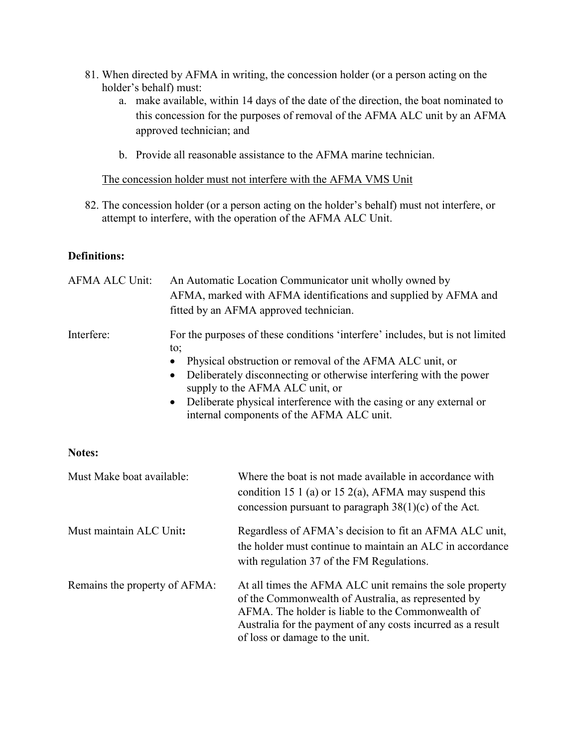- 81. When directed by AFMA in writing, the concession holder (or a person acting on the holder's behalf) must:
	- a. make available, within 14 days of the date of the direction, the boat nominated to this concession for the purposes of removal of the AFMA ALC unit by an AFMA approved technician; and
	- b. Provide all reasonable assistance to the AFMA marine technician.

The concession holder must not interfere with the AFMA VMS Unit

82. The concession holder (or a person acting on the holder's behalf) must not interfere, or attempt to interfere, with the operation of the AFMA ALC Unit.

## **Definitions:**

| <b>AFMA ALC Unit:</b> | An Automatic Location Communicator unit wholly owned by<br>AFMA, marked with AFMA identifications and supplied by AFMA and<br>fitted by an AFMA approved technician.                                                                |  |
|-----------------------|-------------------------------------------------------------------------------------------------------------------------------------------------------------------------------------------------------------------------------------|--|
| Interfere:            | For the purposes of these conditions 'interfere' includes, but is not limited<br>to:<br>Physical obstruction or removal of the AFMA ALC unit, or<br>Deliberately disconnecting or otherwise interfering with the power<br>$\bullet$ |  |
|                       | supply to the AFMA ALC unit, or<br>Deliberate physical interference with the casing or any external or<br>$\bullet$<br>internal components of the AFMA ALC unit.                                                                    |  |

## **Notes:**

| Must Make boat available:     | Where the boat is not made available in accordance with<br>condition 15 1 (a) or 15 2(a), AFMA may suspend this<br>concession pursuant to paragraph $38(1)(c)$ of the Act.                                                                                            |
|-------------------------------|-----------------------------------------------------------------------------------------------------------------------------------------------------------------------------------------------------------------------------------------------------------------------|
| Must maintain ALC Unit:       | Regardless of AFMA's decision to fit an AFMA ALC unit,<br>the holder must continue to maintain an ALC in accordance<br>with regulation 37 of the FM Regulations.                                                                                                      |
| Remains the property of AFMA: | At all times the AFMA ALC unit remains the sole property<br>of the Commonwealth of Australia, as represented by<br>AFMA. The holder is liable to the Commonwealth of<br>Australia for the payment of any costs incurred as a result<br>of loss or damage to the unit. |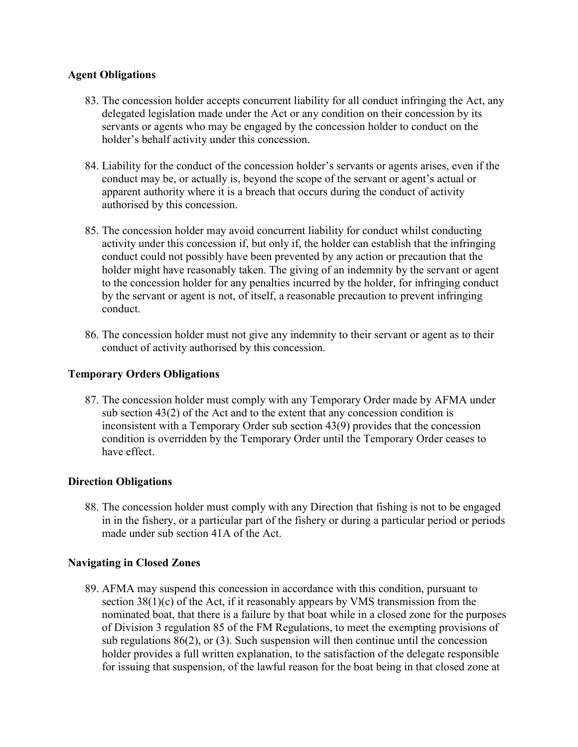## **Agent Obligations**

- 83. The concession holder accepts concurrent liability for all conduct infringing the Act, any delegated legislation made under the Act or any condition on their concession by its servants or agents who may be engaged by the concession holder to conduct on the holder's behalf activity under this concession.
- 84. Liability for the conduct of the concession holder's servants or agents arises, even if the conduct may be, or actually is, beyond the scope of the servant or agent's actual or apparent authority where it is a breach that occurs during the conduct of activity authorised by this concession.
- 85. The concession holder may avoid concurrent liability for conduct whilst conducting activity under this concession if, but only if, the holder can establish that the infringing conduct could not possibly have been prevented by any action or precaution that the holder might have reasonably taken. The giving of an indemnity by the servant or agent to the concession holder for any penalties incurred by the holder, for infringing conduct by the servant or agent is not, of itself, a reasonable precaution to prevent infringing conduct.
- 86. The concession holder must not give any indemnity to their servant or agent as to their conduct of activity authorised by this concession.

## **Temporary Orders Obligations**

87. The concession holder must comply with any Temporary Order made by AFMA under sub section 43(2) of the Act and to the extent that any concession condition is inconsistent with a Temporary Order sub section 43(9) provides that the concession condition is overridden by the Temporary Order until the Temporary Order ceases to have effect.

## **Direction Obligations**

88. The concession holder must comply with any Direction that fishing is not to be engaged in in the fishery, or a particular part of the fishery or during a particular period or periods made under sub section 41A of the Act.

## **Navigating in Closed Zones**

89. AFMA may suspend this concession in accordance with this condition, pursuant to section 38(1)(c) of the Act, if it reasonably appears by VMS transmission from the nominated boat, that there is a failure by that boat while in a closed zone for the purposes of Division 3 regulation 85 of the FM Regulations, to meet the exempting provisions of sub regulations 86(2), or (3). Such suspension will then continue until the concession holder provides a full written explanation, to the satisfaction of the delegate responsible for issuing that suspension, of the lawful reason for the boat being in that closed zone at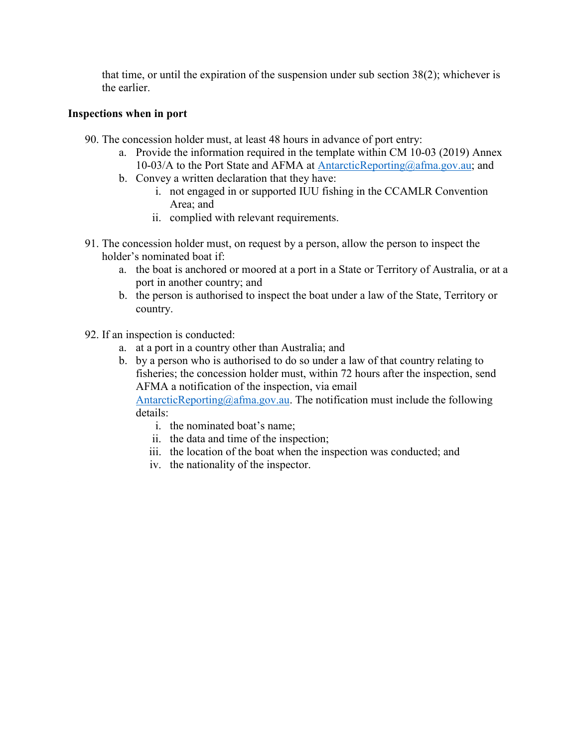that time, or until the expiration of the suspension under sub section 38(2); whichever is the earlier.

## **Inspections when in port**

- 90. The concession holder must, at least 48 hours in advance of port entry:
	- a. Provide the information required in the template within CM 10-03 (2019) Annex 10-03/A to the Port State and AFMA at [AntarcticReporting@afma.gov.au;](mailto:AntarcticReporting@afma.gov.au) and
	- b. Convey a written declaration that they have:
		- i. not engaged in or supported IUU fishing in the CCAMLR Convention Area; and
		- ii. complied with relevant requirements.
- 91. The concession holder must, on request by a person, allow the person to inspect the holder's nominated boat if:
	- a. the boat is anchored or moored at a port in a State or Territory of Australia, or at a port in another country; and
	- b. the person is authorised to inspect the boat under a law of the State, Territory or country.
- 92. If an inspection is conducted:
	- a. at a port in a country other than Australia; and
	- b. by a person who is authorised to do so under a law of that country relating to fisheries; the concession holder must, within 72 hours after the inspection, send AFMA a notification of the inspection, via email [AntarcticReporting@afma.gov.au.](mailto:AntarcticReporting@afma.gov.au) The notification must include the following details:
		- i. the nominated boat's name;
		- ii. the data and time of the inspection;
		- iii. the location of the boat when the inspection was conducted; and
		- iv. the nationality of the inspector.